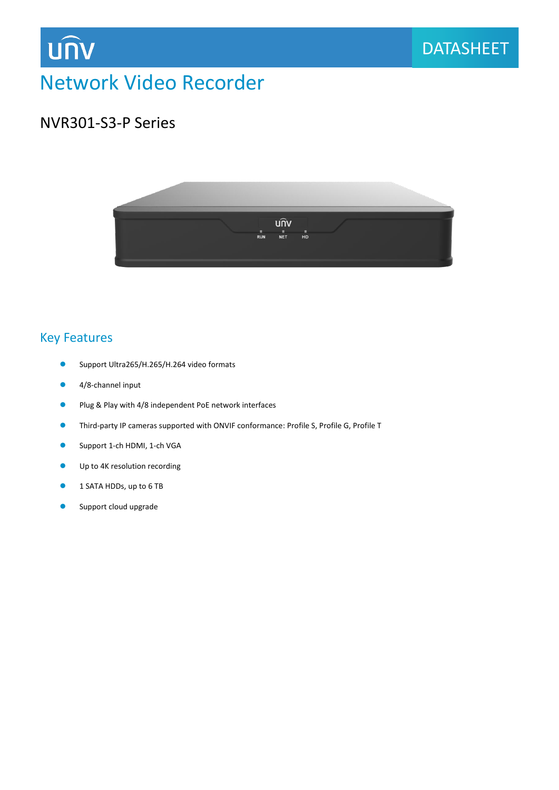

# Network Video Recorder

## NVR301-S3-P Series

**UNV** 



### Key Features

- Support Ultra265/H.265/H.264 video formats
- 4/8-channel input
- **Plug & Play with 4/8 independent PoE network interfaces**
- Third-party IP cameras supported with ONVIF conformance: Profile S, Profile G, Profile T
- **Support 1-ch HDMI, 1-ch VGA**
- **Up to 4K resolution recording**
- **1 SATA HDDs, up to 6 TB**
- **Support cloud upgrade**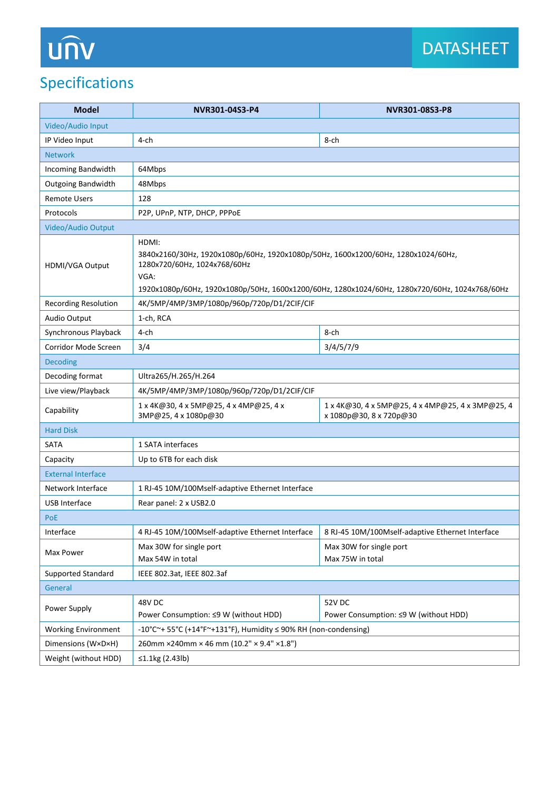# Specifications

| <b>Model</b>                                            | NVR301-04S3-P4                                                                                                                                                                                                                       | NVR301-08S3-P8                                                              |
|---------------------------------------------------------|--------------------------------------------------------------------------------------------------------------------------------------------------------------------------------------------------------------------------------------|-----------------------------------------------------------------------------|
| Video/Audio Input                                       |                                                                                                                                                                                                                                      |                                                                             |
| IP Video Input                                          | 4-ch                                                                                                                                                                                                                                 | 8-ch                                                                        |
| <b>Network</b>                                          |                                                                                                                                                                                                                                      |                                                                             |
| Incoming Bandwidth                                      | 64Mbps                                                                                                                                                                                                                               |                                                                             |
| <b>Outgoing Bandwidth</b>                               | 48Mbps                                                                                                                                                                                                                               |                                                                             |
| <b>Remote Users</b>                                     | 128                                                                                                                                                                                                                                  |                                                                             |
| Protocols                                               | P2P, UPnP, NTP, DHCP, PPPoE                                                                                                                                                                                                          |                                                                             |
| Video/Audio Output                                      |                                                                                                                                                                                                                                      |                                                                             |
| HDMI/VGA Output                                         | HDMI:<br>3840x2160/30Hz, 1920x1080p/60Hz, 1920x1080p/50Hz, 1600x1200/60Hz, 1280x1024/60Hz,<br>1280x720/60Hz, 1024x768/60Hz<br>VGA:<br>1920x1080p/60Hz, 1920x1080p/50Hz, 1600x1200/60Hz, 1280x1024/60Hz, 1280x720/60Hz, 1024x768/60Hz |                                                                             |
| <b>Recording Resolution</b>                             | 4K/5MP/4MP/3MP/1080p/960p/720p/D1/2CIF/CIF                                                                                                                                                                                           |                                                                             |
| Audio Output                                            | 1-ch, RCA                                                                                                                                                                                                                            |                                                                             |
| Synchronous Playback                                    | 4-ch                                                                                                                                                                                                                                 | 8-ch                                                                        |
| Corridor Mode Screen                                    | 3/4                                                                                                                                                                                                                                  | 3/4/5/7/9                                                                   |
| <b>Decoding</b>                                         |                                                                                                                                                                                                                                      |                                                                             |
| Decoding format                                         | Ultra265/H.265/H.264                                                                                                                                                                                                                 |                                                                             |
| Live view/Playback                                      | 4K/5MP/4MP/3MP/1080p/960p/720p/D1/2CIF/CIF                                                                                                                                                                                           |                                                                             |
| Capability                                              | 1 x 4K@30, 4 x 5MP@25, 4 x 4MP@25, 4 x<br>3MP@25, 4 x 1080p@30                                                                                                                                                                       | 1 x 4K@30, 4 x 5MP@25, 4 x 4MP@25, 4 x 3MP@25, 4<br>x 1080p@30, 8 x 720p@30 |
| <b>Hard Disk</b>                                        |                                                                                                                                                                                                                                      |                                                                             |
| <b>SATA</b>                                             | 1 SATA interfaces                                                                                                                                                                                                                    |                                                                             |
| Capacity                                                | Up to 6TB for each disk                                                                                                                                                                                                              |                                                                             |
| <b>External Interface</b>                               |                                                                                                                                                                                                                                      |                                                                             |
| Network Interface                                       | 1 RJ-45 10M/100Mself-adaptive Ethernet Interface                                                                                                                                                                                     |                                                                             |
| <b>USB Interface</b>                                    | Rear panel: 2 x USB2.0                                                                                                                                                                                                               |                                                                             |
| <b>PoE</b>                                              |                                                                                                                                                                                                                                      |                                                                             |
| Interface                                               | 4 RJ-45 10M/100Mself-adaptive Ethernet Interface                                                                                                                                                                                     | 8 RJ-45 10M/100Mself-adaptive Ethernet Interface                            |
| Max Power                                               | Max 30W for single port                                                                                                                                                                                                              | Max 30W for single port                                                     |
|                                                         | Max 54W in total                                                                                                                                                                                                                     | Max 75W in total                                                            |
| IEEE 802.3at, IEEE 802.3af<br><b>Supported Standard</b> |                                                                                                                                                                                                                                      |                                                                             |
| General                                                 |                                                                                                                                                                                                                                      |                                                                             |
| Power Supply                                            | 48V DC<br>Power Consumption: ≤9 W (without HDD)                                                                                                                                                                                      | <b>52V DC</b><br>Power Consumption: ≤9 W (without HDD)                      |
| <b>Working Environment</b>                              | -10°C~+ 55°C (+14°F~+131°F), Humidity ≤ 90% RH (non-condensing)                                                                                                                                                                      |                                                                             |
| Dimensions (W×D×H)                                      | 260mm ×240mm × 46 mm (10.2" × 9.4" ×1.8")                                                                                                                                                                                            |                                                                             |
| Weight (without HDD)                                    | ≤1.1kg $(2.43lb)$                                                                                                                                                                                                                    |                                                                             |